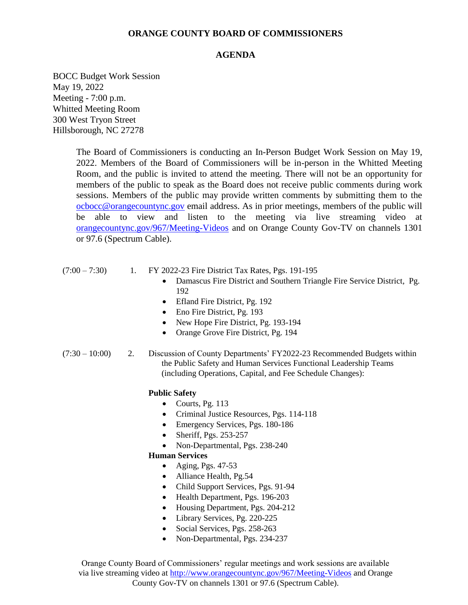#### **ORANGE COUNTY BOARD OF COMMISSIONERS**

#### **AGENDA**

BOCC Budget Work Session May 19, 2022 Meeting - 7:00 p.m. Whitted Meeting Room 300 West Tryon Street Hillsborough, NC 27278

> The Board of Commissioners is conducting an In-Person Budget Work Session on May 19, 2022. Members of the Board of Commissioners will be in-person in the Whitted Meeting Room, and the public is invited to attend the meeting. There will not be an opportunity for members of the public to speak as the Board does not receive public comments during work sessions. Members of the public may provide written comments by submitting them to the [ocbocc@orangecountync.gov](file:///C:/Users/gwilder/AppData/Local/Microsoft/Windows/INetCache/Content.Outlook/8SILXM6F/ocbocc@orangecountync.gov) email address. As in prior meetings, members of the public will be able to view and listen to the meeting via live streaming video at [orangecountync.gov/967/Meeting-Videos](file:///C:/Users/gwilder/AppData/Local/Microsoft/Windows/INetCache/Content.Outlook/8SILXM6F/orangecountync.gov/967/Meeting-Videos) and on Orange County Gov-TV on channels 1301 or 97.6 (Spectrum Cable).

- (7:00 7:30) 1. FY 2022-23 Fire District Tax Rates, Pgs. 191-195
	- Damascus Fire District and Southern Triangle Fire Service District, Pg. 192
	- Efland Fire District, Pg. 192
	- Eno Fire District, Pg. 193
	- New Hope Fire District, Pg. 193-194
	- Orange Grove Fire District, Pg. 194
- (7:30 10:00) 2. Discussion of County Departments' FY2022-23 Recommended Budgets within the Public Safety and Human Services Functional Leadership Teams (including Operations, Capital, and Fee Schedule Changes):

#### **Public Safety**

- Courts, Pg.  $113$
- Criminal Justice Resources, Pgs. 114-118
- Emergency Services, Pgs. 180-186
- Sheriff, Pgs. 253-257
- Non-Departmental, Pgs. 238-240

#### **Human Services**

- Aging, Pgs. 47-53
- Alliance Health, Pg.54
- Child Support Services, Pgs. 91-94
- Health Department, Pgs. 196-203
- Housing Department, Pgs. 204-212
- Library Services, Pg. 220-225
- Social Services, Pgs. 258-263
- Non-Departmental, Pgs. 234-237

Orange County Board of Commissioners' regular meetings and work sessions are available via live streaming video at<http://www.orangecountync.gov/967/Meeting-Videos> and Orange County Gov-TV on channels 1301 or 97.6 (Spectrum Cable).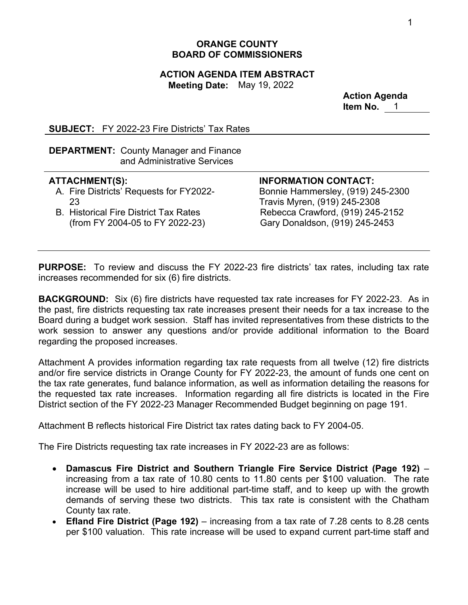## **ORANGE COUNTY BOARD OF COMMISSIONERS**

#### **ACTION AGENDA ITEM ABSTRACT Meeting Date:** May 19, 2022

**Action Agenda Item No.** 1

**SUBJECT:** FY 2022-23 Fire Districts' Tax Rates

**DEPARTMENT:** County Manager and Finance and Administrative Services

## **ATTACHMENT(S):**

- A. Fire Districts' Requests for FY2022- 23
- B. Historical Fire District Tax Rates (from FY 2004-05 to FY 2022-23)

**INFORMATION CONTACT:** 

Bonnie Hammersley, (919) 245-2300 Travis Myren, (919) 245-2308 Rebecca Crawford, (919) 245-2152 Gary Donaldson, (919) 245-2453

**PURPOSE:** To review and discuss the FY 2022-23 fire districts' tax rates, including tax rate increases recommended for six (6) fire districts.

**BACKGROUND:** Six (6) fire districts have requested tax rate increases for FY 2022-23. As in the past, fire districts requesting tax rate increases present their needs for a tax increase to the Board during a budget work session. Staff has invited representatives from these districts to the work session to answer any questions and/or provide additional information to the Board regarding the proposed increases.

Attachment A provides information regarding tax rate requests from all twelve (12) fire districts and/or fire service districts in Orange County for FY 2022-23, the amount of funds one cent on the tax rate generates, fund balance information, as well as information detailing the reasons for the requested tax rate increases. Information regarding all fire districts is located in the Fire District section of the FY 2022-23 Manager Recommended Budget beginning on page 191.

Attachment B reflects historical Fire District tax rates dating back to FY 2004-05.

The Fire Districts requesting tax rate increases in FY 2022-23 are as follows:

- **Damascus Fire District and Southern Triangle Fire Service District (Page 192)**  increasing from a tax rate of 10.80 cents to 11.80 cents per \$100 valuation. The rate increase will be used to hire additional part-time staff, and to keep up with the growth demands of serving these two districts. This tax rate is consistent with the Chatham County tax rate.
- **Efland Fire District (Page 192)**  increasing from a tax rate of 7.28 cents to 8.28 cents per \$100 valuation. This rate increase will be used to expand current part-time staff and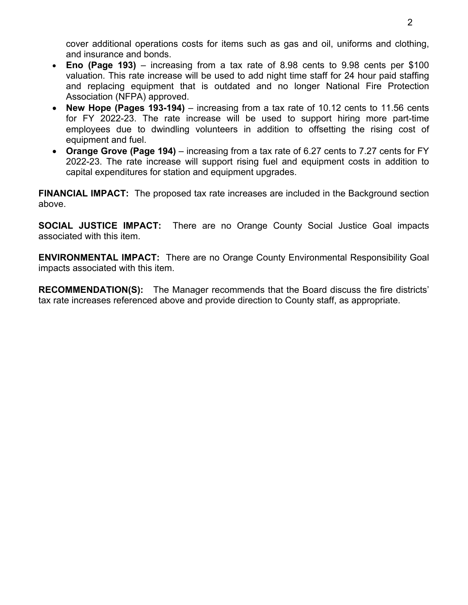cover additional operations costs for items such as gas and oil, uniforms and clothing, and insurance and bonds.

- **Eno (Page 193)** increasing from a tax rate of 8.98 cents to 9.98 cents per \$100 valuation. This rate increase will be used to add night time staff for 24 hour paid staffing and replacing equipment that is outdated and no longer National Fire Protection Association (NFPA) approved.
- **New Hope (Pages 193-194)** increasing from a tax rate of 10.12 cents to 11.56 cents for FY 2022-23. The rate increase will be used to support hiring more part-time employees due to dwindling volunteers in addition to offsetting the rising cost of equipment and fuel.
- Orange Grove (Page 194) increasing from a tax rate of 6.27 cents to 7.27 cents for FY 2022-23. The rate increase will support rising fuel and equipment costs in addition to capital expenditures for station and equipment upgrades.

**FINANCIAL IMPACT:** The proposed tax rate increases are included in the Background section above.

**SOCIAL JUSTICE IMPACT:** There are no Orange County Social Justice Goal impacts associated with this item.

**ENVIRONMENTAL IMPACT:** There are no Orange County Environmental Responsibility Goal impacts associated with this item.

**RECOMMENDATION(S):** The Manager recommends that the Board discuss the fire districts' tax rate increases referenced above and provide direction to County staff, as appropriate.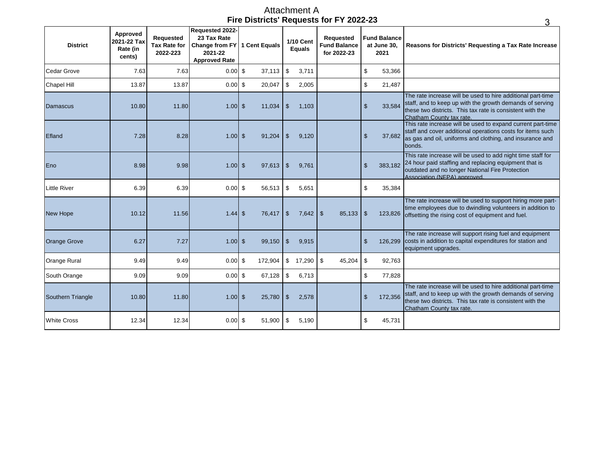### **Fire Districts' Requests for FY 2022-23** Attachment A

| <b>District</b>     | Approved<br>2021-22 Tax<br>Rate (in<br>cents) | <b>Requested</b><br><b>Tax Rate for</b><br>2022-223 | Requested 2022-<br>23 Tax Rate<br>Change from FY 1 Cent Equals<br>2021-22<br><b>Approved Rate</b> |         |               | <b>1/10 Cent</b><br><b>Equals</b> | <b>Requested</b><br><b>Fund Balance</b><br>for 2022-23 | <b>Fund Balance</b><br>at June 30,<br>2021 |         | Reasons for Districts' Requesting a Tax Rate Increase                                                                                                                                                            |
|---------------------|-----------------------------------------------|-----------------------------------------------------|---------------------------------------------------------------------------------------------------|---------|---------------|-----------------------------------|--------------------------------------------------------|--------------------------------------------|---------|------------------------------------------------------------------------------------------------------------------------------------------------------------------------------------------------------------------|
| <b>Cedar Grove</b>  | 7.63                                          | 7.63                                                | $0.00$ \$                                                                                         | 37,113  | \$            | 3,711                             |                                                        | \$                                         | 53,366  |                                                                                                                                                                                                                  |
| <b>Chapel Hill</b>  | 13.87                                         | 13.87                                               | $0.00$ \$                                                                                         | 20,047  | \$            | 2,005                             |                                                        | \$                                         | 21,487  |                                                                                                                                                                                                                  |
| Damascus            | 10.80                                         | 11.80                                               | $1.00$ \$                                                                                         | 11,034  | -\$           | 1,103                             |                                                        | $\mathfrak{S}$                             | 33,584  | The rate increase will be used to hire additional part-time<br>staff, and to keep up with the growth demands of serving<br>these two districts. This tax rate is consistent with the<br>Chatham County tax rate. |
| Efland              | 7.28                                          | 8.28                                                | $1.00$ \$                                                                                         | 91,204  | \$            | 9,120                             |                                                        | $\mathsf{\$}$                              | 37,682  | This rate increase will be used to expand current part-time<br>staff and cover additional operations costs for items such<br>as gas and oil, uniforms and clothing, and insurance and<br>bonds.                  |
| Eno                 | 8.98                                          | 9.98                                                | $1.00$ \$                                                                                         | 97,613  | $\sqrt[6]{3}$ | 9,761                             |                                                        | $\mathsf{\$}$                              | 383,182 | This rate increase will be used to add night time staff for<br>24 hour paid staffing and replacing equipment that is<br>outdated and no longer National Fire Protection<br>Association (NFPA) approved           |
| <b>Little River</b> | 6.39                                          | 6.39                                                | $0.00$ \$                                                                                         | 56,513  | \$            | 5,651                             |                                                        | \$                                         | 35,384  |                                                                                                                                                                                                                  |
| <b>New Hope</b>     | 10.12                                         | 11.56                                               | $1.44$ \$                                                                                         | 76.417  | $\sqrt{3}$    | 7,642                             | l \$<br>85,133                                         | $\mathfrak{s}$                             | 123,826 | The rate increase will be used to support hiring more part-<br>time employees due to dwindling volunteers in addition to<br>offsetting the rising cost of equipment and fuel.                                    |
| <b>Orange Grove</b> | 6.27                                          | 7.27                                                | $1.00$ \$                                                                                         | 99,150  | $\sqrt[6]{3}$ | 9,915                             |                                                        | $\mathsf{\$}$                              |         | The rate increase will support rising fuel and equipment<br>126,299 costs in addition to capital expenditures for station and<br>equipment upgrades.                                                             |
| Orange Rural        | 9.49                                          | 9.49                                                | $0.00$ \$                                                                                         | 172,904 | \$            | 17,290                            | \$<br>45,204                                           | \$                                         | 92,763  |                                                                                                                                                                                                                  |
| South Orange        | 9.09                                          | 9.09                                                | $0.00$ \$                                                                                         | 67,128  | \$            | 6,713                             |                                                        | \$                                         | 77,828  |                                                                                                                                                                                                                  |
| Southern Triangle   | 10.80                                         | 11.80                                               | $1.00$ \$                                                                                         | 25,780  | $\sqrt[6]{3}$ | 2,578                             |                                                        | $\frac{1}{2}$                              | 172,356 | The rate increase will be used to hire additional part-time<br>staff, and to keep up with the growth demands of serving<br>these two districts. This tax rate is consistent with the<br>Chatham County tax rate. |
| <b>White Cross</b>  | 12.34                                         | 12.34                                               | $0.00$ \$                                                                                         | 51,900  | \$            | 5,190                             |                                                        | \$                                         | 45,731  |                                                                                                                                                                                                                  |

3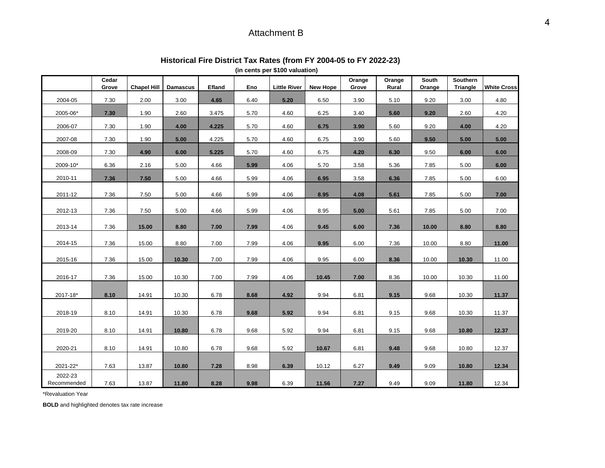# Attachment B

| (in cents per \$100 valuation) |                |                    |                 |        |      |                     |                 |                 |                 |                 |                      |                    |
|--------------------------------|----------------|--------------------|-----------------|--------|------|---------------------|-----------------|-----------------|-----------------|-----------------|----------------------|--------------------|
|                                | Cedar<br>Grove | <b>Chapel Hill</b> | <b>Damascus</b> | Efland | Eno  | <b>Little River</b> | <b>New Hope</b> | Orange<br>Grove | Orange<br>Rural | South<br>Orange | Southern<br>Triangle | <b>White Cross</b> |
| 2004-05                        | 7.30           | 2.00               | 3.00            | 4.65   | 6.40 | 5.20                | 6.50            | 3.90            | 5.10            | 9.20            | 3.00                 | 4.80               |
| 2005-06*                       | 7.30           | 1.90               | 2.60            | 3.475  | 5.70 | 4.60                | 6.25            | 3.40            | 5.60            | 9.20            | 2.60                 | 4.20               |
| 2006-07                        | 7.30           | 1.90               | 4.00            | 4.225  | 5.70 | 4.60                | 6.75            | 3.90            | 5.60            | 9.20            | 4.00                 | 4.20               |
| 2007-08                        | 7.30           | 1.90               | 5.00            | 4.225  | 5.70 | 4.60                | 6.75            | 3.90            | 5.60            | 9.50            | 5.00                 | 5.00               |
| 2008-09                        | 7.30           | 4.90               | 6.00            | 5.225  | 5.70 | 4.60                | 6.75            | 4.20            | 6.30            | 9.50            | 6.00                 | 6.00               |
| 2009-10*                       | 6.36           | 2.16               | 5.00            | 4.66   | 5.99 | 4.06                | 5.70            | 3.58            | 5.36            | 7.85            | 5.00                 | 6.00               |
| 2010-11                        | 7.36           | 7.50               | 5.00            | 4.66   | 5.99 | 4.06                | 6.95            | 3.58            | 6.36            | 7.85            | 5.00                 | 6.00               |
| 2011-12                        | 7.36           | 7.50               | 5.00            | 4.66   | 5.99 | 4.06                | 8.95            | 4.08            | 5.61            | 7.85            | 5.00                 | 7.00               |
|                                |                |                    |                 |        |      |                     |                 |                 |                 |                 |                      |                    |
| 2012-13                        | 7.36           | 7.50               | 5.00            | 4.66   | 5.99 | 4.06                | 8.95            | 5.00            | 5.61            | 7.85            | 5.00                 | 7.00               |
| 2013-14                        | 7.36           | 15.00              | 8.80            | 7.00   | 7.99 | 4.06                | 9.45            | 6.00            | 7.36            | 10.00           | 8.80                 | 8.80               |
| 2014-15                        | 7.36           | 15.00              | 8.80            | 7.00   | 7.99 | 4.06                | 9.95            | 6.00            | 7.36            | 10.00           | 8.80                 | 11.00              |
|                                |                |                    |                 |        |      |                     |                 |                 |                 |                 |                      |                    |
| 2015-16                        | 7.36           | 15.00              | 10.30           | 7.00   | 7.99 | 4.06                | 9.95            | 6.00            | 8.36            | 10.00           | 10.30                | 11.00              |
| 2016-17                        | 7.36           | 15.00              | 10.30           | 7.00   | 7.99 | 4.06                | 10.45           | 7.00            | 8.36            | 10.00           | 10.30                | 11.00              |
| 2017-18*                       | 8.10           | 14.91              | 10.30           | 6.78   | 8.68 | 4.92                | 9.94            | 6.81            | 9.15            | 9.68            | 10.30                | 11.37              |
|                                |                |                    |                 |        |      |                     |                 |                 |                 |                 |                      |                    |
| 2018-19                        | 8.10           | 14.91              | 10.30           | 6.78   | 9.68 | 5.92                | 9.94            | 6.81            | 9.15            | 9.68            | 10.30                | 11.37              |
| 2019-20                        | 8.10           | 14.91              | 10.80           | 6.78   | 9.68 | 5.92                | 9.94            | 6.81            | 9.15            | 9.68            | 10.80                | 12.37              |
|                                |                |                    |                 |        |      |                     |                 |                 |                 |                 |                      |                    |
| 2020-21                        | 8.10           | 14.91              | 10.80           | 6.78   | 9.68 | 5.92                | 10.67           | 6.81            | 9.48            | 9.68            | 10.80                | 12.37              |
| 2021-22*                       | 7.63           | 13.87              | 10.80           | 7.28   | 8.98 | 6.39                | 10.12           | 6.27            | 9.49            | 9.09            | 10.80                | 12.34              |
| 2022-23<br>Recommended         | 7.63           | 13.87              | 11.80           | 8.28   | 9.98 | 6.39                | 11.56           | 7.27            | 9.49            | 9.09            | 11.80                | 12.34              |

# **Historical Fire District Tax Rates (from FY 2004-05 to FY 2022-23)**

\*Revaluation Year

**BOLD** and highlighted denotes tax rate increase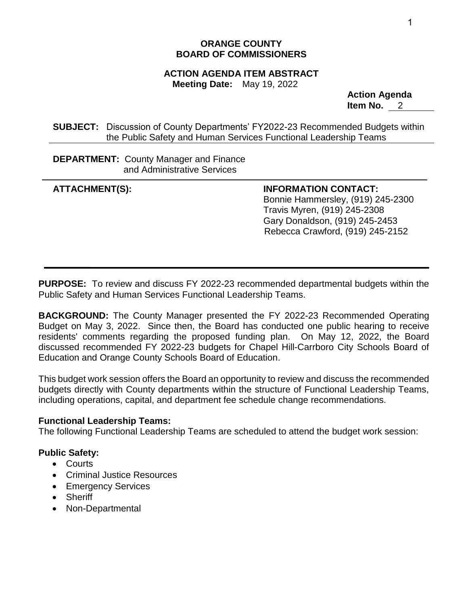# **ORANGE COUNTY BOARD OF COMMISSIONERS**

# **ACTION AGENDA ITEM ABSTRACT**

**Meeting Date:** May 19, 2022

**Action Agenda Item No.** 2

**SUBJECT:** Discussion of County Departments' FY2022-23 Recommended Budgets within the Public Safety and Human Services Functional Leadership Teams

**DEPARTMENT:** County Manager and Finance and Administrative Services

**ATTACHMENT(S): INFORMATION CONTACT:** Bonnie Hammersley, (919) 245-2300 Travis Myren, (919) 245-2308 Gary Donaldson, (919) 245-2453 Rebecca Crawford, (919) 245-2152

**PURPOSE:** To review and discuss FY 2022-23 recommended departmental budgets within the Public Safety and Human Services Functional Leadership Teams.

**BACKGROUND:** The County Manager presented the FY 2022-23 Recommended Operating Budget on May 3, 2022. Since then, the Board has conducted one public hearing to receive residents' comments regarding the proposed funding plan. On May 12, 2022, the Board discussed recommended FY 2022-23 budgets for Chapel Hill-Carrboro City Schools Board of Education and Orange County Schools Board of Education.

This budget work session offers the Board an opportunity to review and discuss the recommended budgets directly with County departments within the structure of Functional Leadership Teams, including operations, capital, and department fee schedule change recommendations.

## **Functional Leadership Teams:**

The following Functional Leadership Teams are scheduled to attend the budget work session:

# **Public Safety:**

- Courts
- Criminal Justice Resources
- Emergency Services
- Sheriff
- Non-Departmental